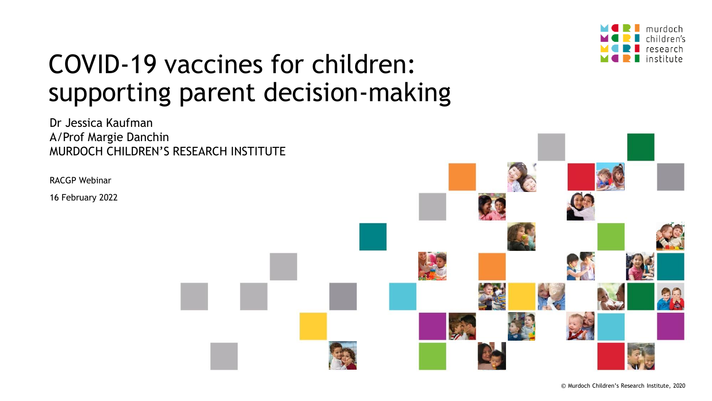

# COVID-19 vaccines for children: supporting parent decision-making

Dr Jessica Kaufman A/Prof Margie Danchin MURDOCH CHILDREN'S RESEARCH INSTITUTE

RACGP Webinar

16 February 2022

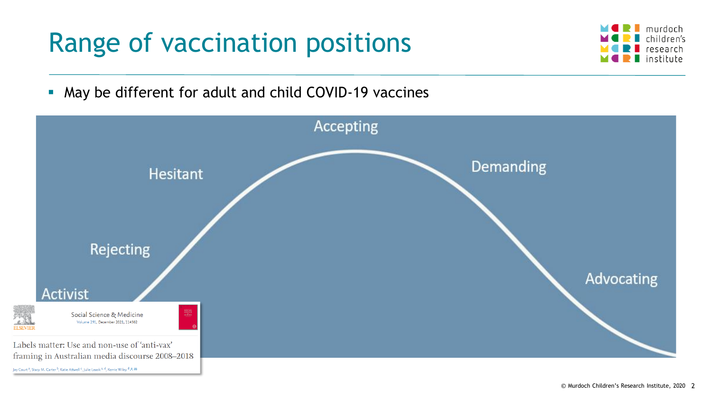# Range of vaccination positions



■ May be different for adult and child COVID-19 vaccines

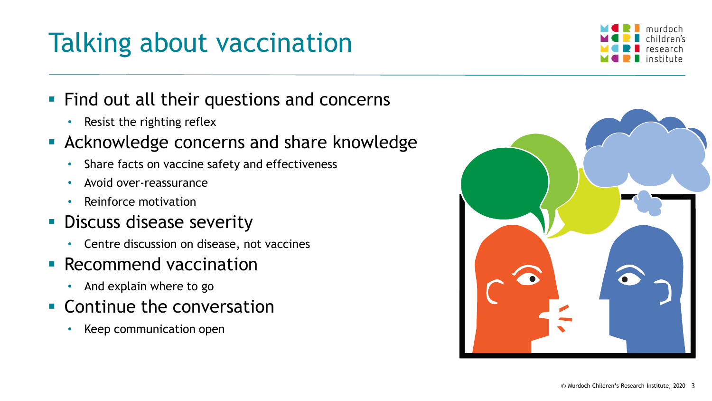# Talking about vaccination



- Find out all their questions and concerns
	- Resist the righting reflex
- Acknowledge concerns and share knowledge
	- Share facts on vaccine safety and effectiveness
	- Avoid over-reassurance
	- Reinforce motivation
- **Discuss disease severity** 
	- Centre discussion on disease, not vaccines
- **E** Recommend vaccination
	- And explain where to go
- Continue the conversation
	- Keep communication open

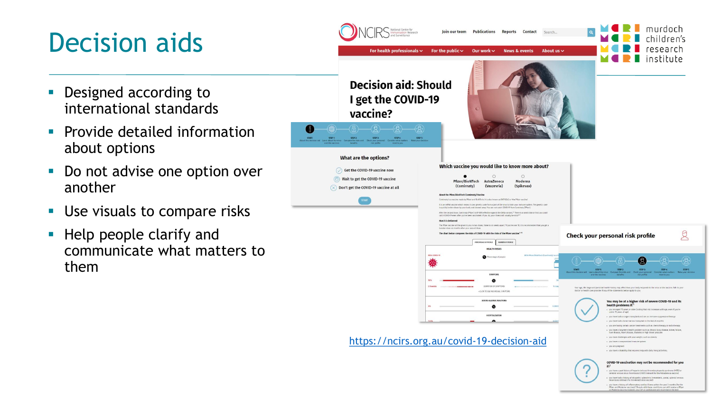

Mzer and Moderna vaccines).<sup>3</sup> People with these conditions can still receive a Pf<br>w Moderna vaccine: however, <u>your GP or cardiologist will recommend the best</u>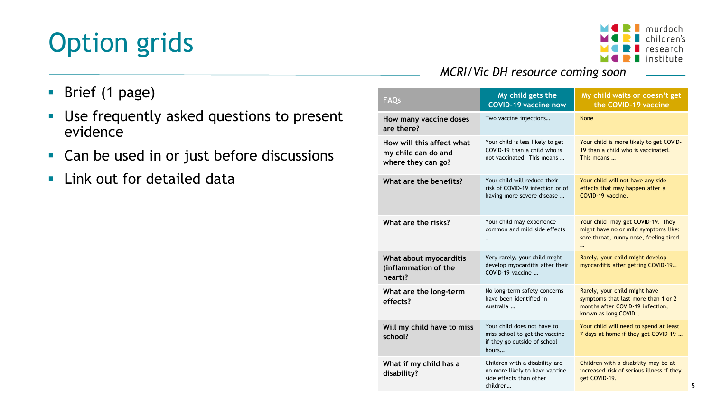# Option grids



### *MCRI/Vic DH resource coming soon*

| <b>FAQs</b>                                                            | My child gets the<br><b>COVID-19 vaccine now</b>                                                        | My child waits or doesn't get<br>the COVID-19 vaccine                                                                           |  |  |
|------------------------------------------------------------------------|---------------------------------------------------------------------------------------------------------|---------------------------------------------------------------------------------------------------------------------------------|--|--|
| How many vaccine doses<br>are there?                                   | Two vaccine injections                                                                                  | <b>None</b>                                                                                                                     |  |  |
| How will this affect what<br>my child can do and<br>where they can go? | Your child is less likely to get<br>COVID-19 than a child who is<br>not vaccinated. This means          | Your child is more likely to get COVID-<br>19 than a child who is vaccinated.<br>This means                                     |  |  |
| What are the benefits?                                                 | Your child will reduce their<br>risk of COVID-19 infection or of<br>having more severe disease          | Your child will not have any side<br>effects that may happen after a<br>COVID-19 vaccine.                                       |  |  |
| What are the risks?                                                    | Your child may experience<br>common and mild side effects<br>                                           | Your child may get COVID-19. They<br>might have no or mild symptoms like:<br>sore throat, runny nose, feeling tired             |  |  |
| What about myocarditis<br>(inflammation of the<br>heart)?              | Very rarely, your child might<br>develop myocarditis after their<br>COVID-19 vaccine                    | Rarely, your child might develop<br>myocarditis after getting COVID-19                                                          |  |  |
| What are the long-term<br>effects?                                     | No long-term safety concerns<br>have been identified in<br>Australia                                    | Rarely, your child might have<br>symptoms that last more than 1 or 2<br>months after COVID-19 infection,<br>known as long COVID |  |  |
| Will my child have to miss<br>school?                                  | Your child does not have to<br>miss school to get the vaccine<br>if they go outside of school<br>hours  | Your child will need to spend at least<br>7 days at home if they get COVID-19                                                   |  |  |
| What if my child has a<br>disability?                                  | Children with a disability are<br>no more likely to have vaccine<br>side effects than other<br>children | Children with a disability may be at<br>increased risk of serious illness if they<br>get COVID-19.                              |  |  |

### ■ Brief (1 page)

- **Use frequently asked questions to present** evidence
- Can be used in or just before discussions
- **E** Link out for detailed data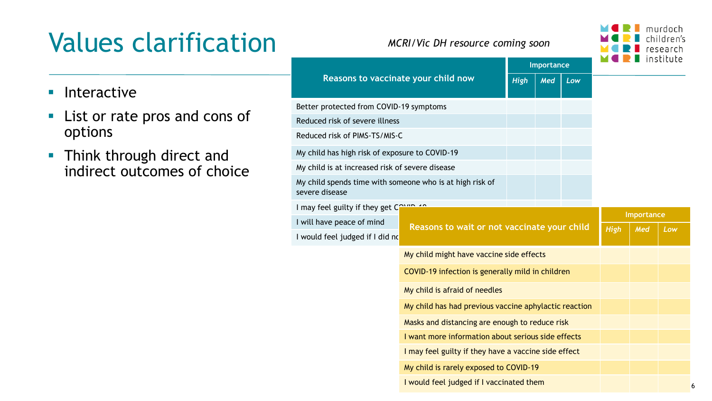# Values clarification

### *MCRI/Vic DH resource coming soon*



### **·** Interactive

- List or rate pros and cons of options
- **Think through direct and** indirect outcomes of choice

|                                                                                                         |                                                  | Importance  |     |     |             | $\blacksquare$ institute |     |
|---------------------------------------------------------------------------------------------------------|--------------------------------------------------|-------------|-----|-----|-------------|--------------------------|-----|
| Reasons to vaccinate your child now                                                                     |                                                  | <b>High</b> | Med | Low |             |                          |     |
| Better protected from COVID-19 symptoms                                                                 |                                                  |             |     |     |             |                          |     |
| Reduced risk of severe illness                                                                          |                                                  |             |     |     |             |                          |     |
| Reduced risk of PIMS-TS/MIS-C                                                                           |                                                  |             |     |     |             |                          |     |
| My child has high risk of exposure to COVID-19                                                          |                                                  |             |     |     |             |                          |     |
| My child is at increased risk of severe disease                                                         |                                                  |             |     |     |             |                          |     |
| My child spends time with someone who is at high risk of<br>severe disease                              |                                                  |             |     |     |             |                          |     |
| I may feel guilty if they get Covin 40                                                                  |                                                  |             |     |     | Importance  |                          |     |
| I will have peace of mind                                                                               | Reasons to wait or not vaccinate your child      |             |     |     | <b>High</b> | Med                      | Low |
| I would feel judged if I did no                                                                         |                                                  |             |     |     |             |                          |     |
|                                                                                                         | My child might have vaccine side effects         |             |     |     |             |                          |     |
|                                                                                                         | COVID-19 infection is generally mild in children |             |     |     |             |                          |     |
|                                                                                                         | My child is afraid of needles                    |             |     |     |             |                          |     |
| My child has had previous vaccine aphylactic reaction<br>Masks and distancing are enough to reduce risk |                                                  |             |     |     |             |                          |     |
|                                                                                                         |                                                  |             |     |     |             |                          |     |
| I want more information about serious side effects                                                      |                                                  |             |     |     |             |                          |     |
| I may feel guilty if they have a vaccine side effect                                                    |                                                  |             |     |     |             |                          |     |
|                                                                                                         | My child is rarely exposed to COVID-19           |             |     |     |             |                          |     |
|                                                                                                         | I would feel judged if I vaccinated them         |             |     |     |             |                          |     |
|                                                                                                         |                                                  |             |     |     |             |                          |     |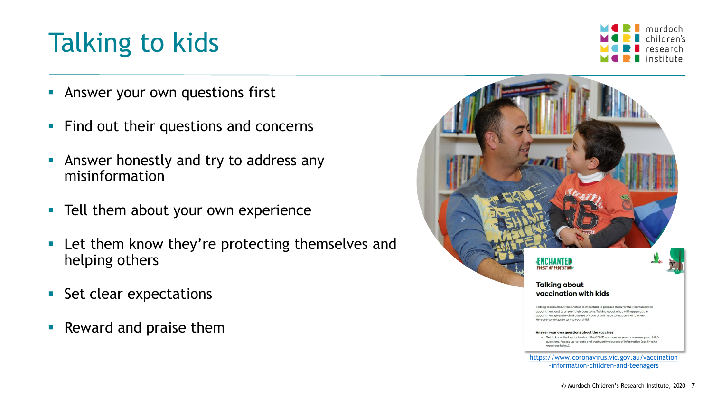### © Murdoch Children's Research Institute, 2020 7

### Talking to kids

- Answer your own questions first
- Find out their questions and concerns
- **E** Answer honestly and try to address any misinformation
- Tell them about your own experience
- Let them know they're protecting themselves and helping others
- Set clear expectations
- Reward and praise them